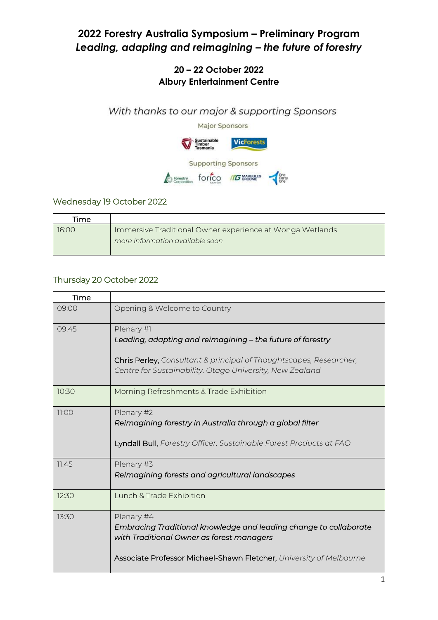# **2022 Forestry Australia Symposium – Preliminary Program** *Leading, adapting and reimagining – the future of forestry*

### **20 – 22 October 2022 Albury Entertainment Centre**

With thanks to our major & supporting Sponsors



#### Wednesday 19 October 2022

| Time  |                                                                                             |
|-------|---------------------------------------------------------------------------------------------|
| 16:00 | Immersive Traditional Owner experience at Wonga Wetlands<br>more information available soon |

#### Thursday 20 October 2022

| Time  |                                                                                                                                                                                                            |
|-------|------------------------------------------------------------------------------------------------------------------------------------------------------------------------------------------------------------|
| 09:00 | Opening & Welcome to Country                                                                                                                                                                               |
| 09:45 | Plenary #1<br>Leading, adapting and reimagining - the future of forestry<br>Chris Perley, Consultant & principal of Thoughtscapes, Researcher,<br>Centre for Sustainability, Otago University, New Zealand |
| 10:30 | Morning Refreshments & Trade Exhibition                                                                                                                                                                    |
| 11:00 | Plenary #2<br>Reimagining forestry in Australia through a global filter<br>Lyndall Bull, Forestry Officer, Sustainable Forest Products at FAO                                                              |
| 11:45 | Plenary #3<br>Reimagining forests and agricultural landscapes                                                                                                                                              |
| 12:30 | Lunch & Trade Exhibition                                                                                                                                                                                   |
| 13:30 | Plenary #4<br>Embracing Traditional knowledge and leading change to collaborate<br>with Traditional Owner as forest managers<br>Associate Professor Michael-Shawn Fletcher, University of Melbourne        |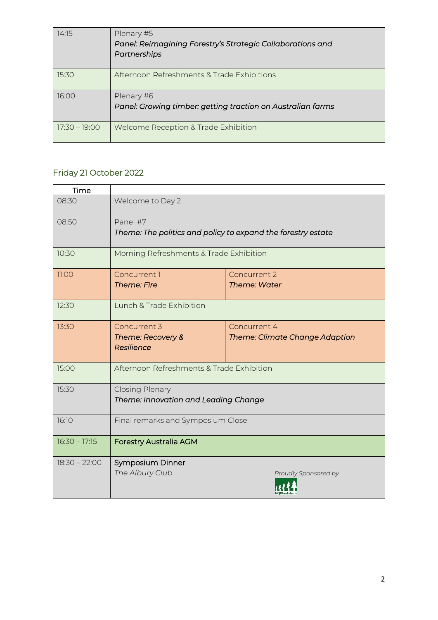| 14:15           | Plenary #5<br>Panel: Reimagining Forestry's Strategic Collaborations and<br>Partnerships |
|-----------------|------------------------------------------------------------------------------------------|
| 15:30           | Afternoon Refreshments & Trade Exhibitions                                               |
| 16:00           | Plenary #6<br>Panel: Growing timber: getting traction on Australian farms                |
| $17:30 - 19:00$ | Welcome Reception & Trade Exhibition                                                     |

## Friday 21 October 2022

| Time            |                                                                          |                                                |
|-----------------|--------------------------------------------------------------------------|------------------------------------------------|
| 08:30           | Welcome to Day 2                                                         |                                                |
| 08:50           | Panel #7<br>Theme: The politics and policy to expand the forestry estate |                                                |
| 10:30           | Morning Refreshments & Trade Exhibition                                  |                                                |
| 11:00           | Concurrent 1<br><b>Theme: Fire</b>                                       | Concurrent 2<br>Theme: Water                   |
| 12:30           | Lunch & Trade Exhibition                                                 |                                                |
| 13:30           | Concurrent 3<br>Theme: Recovery &<br>Resilience                          | Concurrent 4<br>Theme: Climate Change Adaption |
| 15:00           | Afternoon Refreshments & Trade Exhibition                                |                                                |
| 15:30           | <b>Closing Plenary</b><br>Theme: Innovation and Leading Change           |                                                |
| 16:10           | Final remarks and Symposium Close                                        |                                                |
| $16:30 - 17:15$ | <b>Forestry Australia AGM</b>                                            |                                                |
| $18:30 - 22:00$ | Symposium Dinner<br>The Albury Club                                      | Proudly Sponsored by                           |